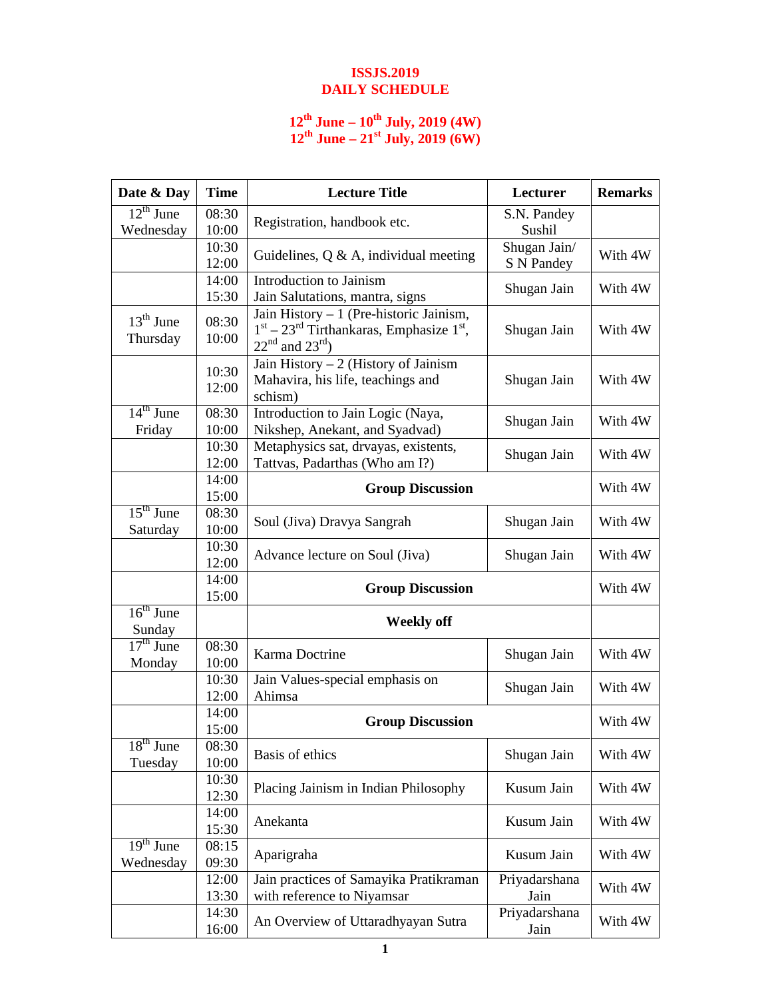## **ISSJS.2019 DAILY SCHEDULE**

## **12th June – 10th July, 2019 (4W) 12th June – 21st July, 2019 (6W)**

| Date & Day                                      | <b>Time</b>    | <b>Lecture Title</b>                                                                                            | Lecturer                   | <b>Remarks</b> |
|-------------------------------------------------|----------------|-----------------------------------------------------------------------------------------------------------------|----------------------------|----------------|
| $12^{\text{th}}$ June<br>Wednesday              | 08:30<br>10:00 | Registration, handbook etc.                                                                                     | S.N. Pandey<br>Sushil      |                |
|                                                 | 10:30<br>12:00 | Guidelines, $Q \& A$ , individual meeting                                                                       | Shugan Jain/<br>S N Pandey | With 4W        |
|                                                 | 14:00<br>15:30 | Introduction to Jainism<br>Jain Salutations, mantra, signs                                                      | Shugan Jain                | With 4W        |
| $13th$ June<br>Thursday                         | 08:30<br>10:00 | Jain History $-1$ (Pre-historic Jainism,<br>$1st - 23rd$ Tirthankaras, Emphasize $1st$ ,<br>$22nd$ and $23rd$ ) | Shugan Jain                | With 4W        |
|                                                 | 10:30<br>12:00 | Jain History $-2$ (History of Jainism<br>Mahavira, his life, teachings and<br>schism)                           | Shugan Jain                | With 4W        |
| $14th$ June<br>Friday                           | 08:30<br>10:00 | Introduction to Jain Logic (Naya,<br>Nikshep, Anekant, and Syadvad)                                             | Shugan Jain                | With 4W        |
|                                                 | 10:30<br>12:00 | Metaphysics sat, drvayas, existents,<br>Tattvas, Padarthas (Who am I?)                                          | Shugan Jain                | With 4W        |
|                                                 | 14:00<br>15:00 | <b>Group Discussion</b>                                                                                         |                            | With 4W        |
| $15th$ June<br>Saturday                         | 08:30<br>10:00 | Soul (Jiva) Dravya Sangrah                                                                                      | Shugan Jain                | With 4W        |
|                                                 | 10:30<br>12:00 | Advance lecture on Soul (Jiva)                                                                                  | Shugan Jain                | With 4W        |
|                                                 | 14:00<br>15:00 | <b>Group Discussion</b>                                                                                         |                            | With 4W        |
| $16th$ June<br>Sunday                           |                | <b>Weekly off</b>                                                                                               |                            |                |
| $17th$ June<br>Monday                           | 08:30<br>10:00 | Karma Doctrine                                                                                                  | Shugan Jain                | With 4W        |
|                                                 | 10:30<br>12:00 | Jain Values-special emphasis on<br>Ahimsa                                                                       | Shugan Jain                | With 4W        |
| 14:00<br>15:00                                  |                | <b>Group Discussion</b>                                                                                         |                            | With 4W        |
| $18th$ June<br>Tuesday                          | 08:30<br>10:00 | Basis of ethics                                                                                                 | Shugan Jain                | With 4W        |
|                                                 | 10:30<br>12:30 | Placing Jainism in Indian Philosophy                                                                            | Kusum Jain                 | With 4W        |
|                                                 | 14:00<br>15:30 | Anekanta                                                                                                        | Kusum Jain                 | With 4W        |
| $\overline{19}$ <sup>th</sup> June<br>Wednesday | 08:15<br>09:30 | Aparigraha                                                                                                      | Kusum Jain                 | With 4W        |
|                                                 | 12:00<br>13:30 | Jain practices of Samayika Pratikraman<br>with reference to Niyamsar                                            | Priyadarshana<br>Jain      | With 4W        |
|                                                 | 14:30<br>16:00 | An Overview of Uttaradhyayan Sutra                                                                              | Priyadarshana<br>Jain      | With 4W        |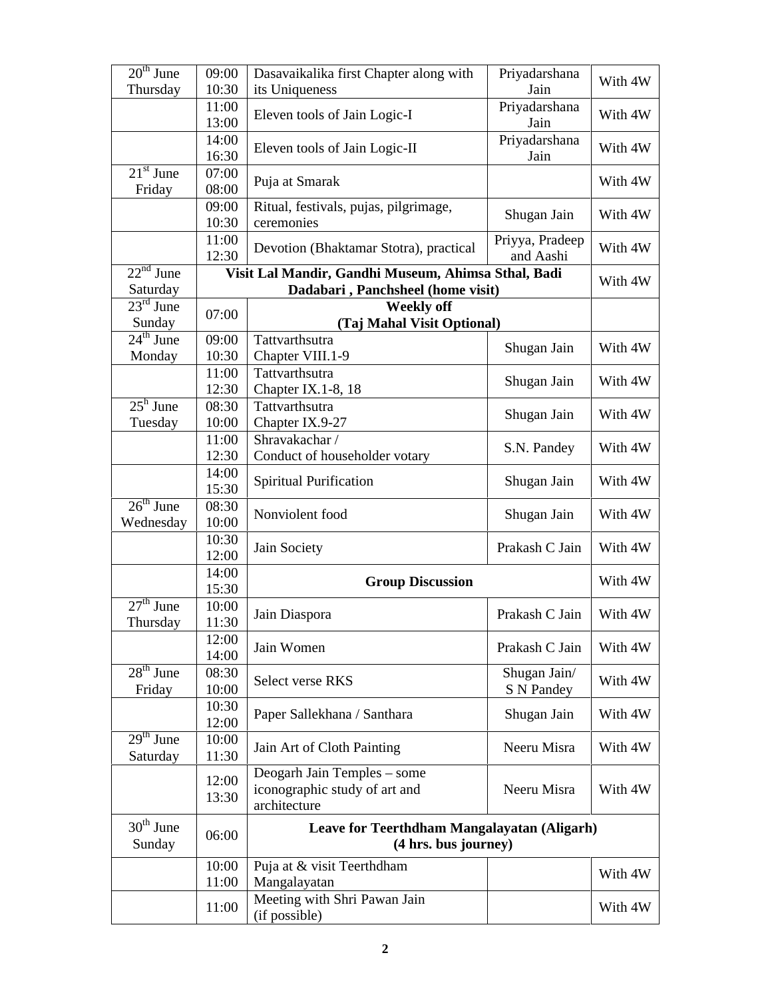| Dasavaikalika first Chapter along with<br>10:30<br>Jain<br>Thursday<br>its Uniqueness<br>Priyadarshana<br>11:00<br>Eleven tools of Jain Logic-I<br>13:00<br>Jain<br>Priyadarshana<br>14:00<br>Eleven tools of Jain Logic-II<br>16:30<br>Jain<br>$21st$ June<br>07:00<br>Puja at Smarak<br>08:00<br>Friday<br>09:00<br>Ritual, festivals, pujas, pilgrimage,<br>Shugan Jain<br>10:30<br>ceremonies<br>11:00<br>Priyya, Pradeep | With 4W<br>With 4W<br>With 4W<br>With 4W<br>With 4W<br>With 4W |
|-------------------------------------------------------------------------------------------------------------------------------------------------------------------------------------------------------------------------------------------------------------------------------------------------------------------------------------------------------------------------------------------------------------------------------|----------------------------------------------------------------|
|                                                                                                                                                                                                                                                                                                                                                                                                                               |                                                                |
|                                                                                                                                                                                                                                                                                                                                                                                                                               |                                                                |
|                                                                                                                                                                                                                                                                                                                                                                                                                               |                                                                |
|                                                                                                                                                                                                                                                                                                                                                                                                                               |                                                                |
|                                                                                                                                                                                                                                                                                                                                                                                                                               |                                                                |
| Devotion (Bhaktamar Stotra), practical<br>and Aashi<br>12:30                                                                                                                                                                                                                                                                                                                                                                  |                                                                |
| $22nd$ June<br>Visit Lal Mandir, Gandhi Museum, Ahimsa Sthal, Badi                                                                                                                                                                                                                                                                                                                                                            |                                                                |
| Saturday<br>Dadabari, Panchsheel (home visit)                                                                                                                                                                                                                                                                                                                                                                                 | With 4W                                                        |
| $23^{\text{rd}}$ June<br><b>Weekly off</b><br>07:00                                                                                                                                                                                                                                                                                                                                                                           |                                                                |
| Sunday<br>(Taj Mahal Visit Optional)                                                                                                                                                                                                                                                                                                                                                                                          |                                                                |
| $24^{\text{th}}$ June<br>09:00<br>Tattvarthsutra<br>Shugan Jain<br>10:30<br>Chapter VIII.1-9<br>Monday                                                                                                                                                                                                                                                                                                                        | With 4W                                                        |
| 11:00<br>Tattvarthsutra<br>Shugan Jain<br>12:30<br>Chapter IX.1-8, 18                                                                                                                                                                                                                                                                                                                                                         | With 4W                                                        |
| $25^{\rm h}$ June<br>Tattvarthsutra<br>08:30<br>Shugan Jain<br>10:00<br>Chapter IX.9-27<br>Tuesday                                                                                                                                                                                                                                                                                                                            | With 4W                                                        |
| Shravakachar /<br>11:00<br>S.N. Pandey                                                                                                                                                                                                                                                                                                                                                                                        | With 4W                                                        |
| 12:30<br>Conduct of householder votary                                                                                                                                                                                                                                                                                                                                                                                        |                                                                |
| 14:00<br><b>Spiritual Purification</b><br>Shugan Jain<br>15:30                                                                                                                                                                                                                                                                                                                                                                | With 4W                                                        |
| $26th$ June<br>08:30<br>Nonviolent food<br>Shugan Jain<br>Wednesday<br>10:00                                                                                                                                                                                                                                                                                                                                                  | With 4W                                                        |
| 10:30<br>Prakash C Jain<br>Jain Society<br>12:00                                                                                                                                                                                                                                                                                                                                                                              | With 4W                                                        |
| 14:00<br><b>Group Discussion</b><br>15:30                                                                                                                                                                                                                                                                                                                                                                                     | With 4W                                                        |
| $27th$ June<br>10:00<br>Prakash C Jain<br>Jain Diaspora<br>11:30<br>Thursday                                                                                                                                                                                                                                                                                                                                                  | With 4W                                                        |
| 12:00<br>Prakash C Jain<br>Jain Women<br>14:00                                                                                                                                                                                                                                                                                                                                                                                | With 4W                                                        |
| $28th$ June<br>08:30<br>Shugan Jain/<br>Select verse RKS<br>10:00<br>S N Pandey<br>Friday                                                                                                                                                                                                                                                                                                                                     | With 4W                                                        |
| 10:30<br>Shugan Jain<br>Paper Sallekhana / Santhara<br>12:00                                                                                                                                                                                                                                                                                                                                                                  | With 4W                                                        |
| $29th$ June<br>10:00<br>Jain Art of Cloth Painting<br>Neeru Misra<br>Saturday<br>11:30                                                                                                                                                                                                                                                                                                                                        | With 4W                                                        |
| Deogarh Jain Temples – some<br>12:00<br>iconographic study of art and<br>Neeru Misra<br>13:30<br>architecture                                                                                                                                                                                                                                                                                                                 | With 4W                                                        |
| $30th$ June<br>Leave for Teerthdham Mangalayatan (Aligarh)<br>06:00<br>Sunday<br>(4 hrs. bus journey)                                                                                                                                                                                                                                                                                                                         |                                                                |
| 10:00<br>Puja at & visit Teerthdham<br>11:00<br>Mangalayatan                                                                                                                                                                                                                                                                                                                                                                  | With 4W                                                        |
| Meeting with Shri Pawan Jain<br>11:00<br>(if possible)                                                                                                                                                                                                                                                                                                                                                                        | With 4W                                                        |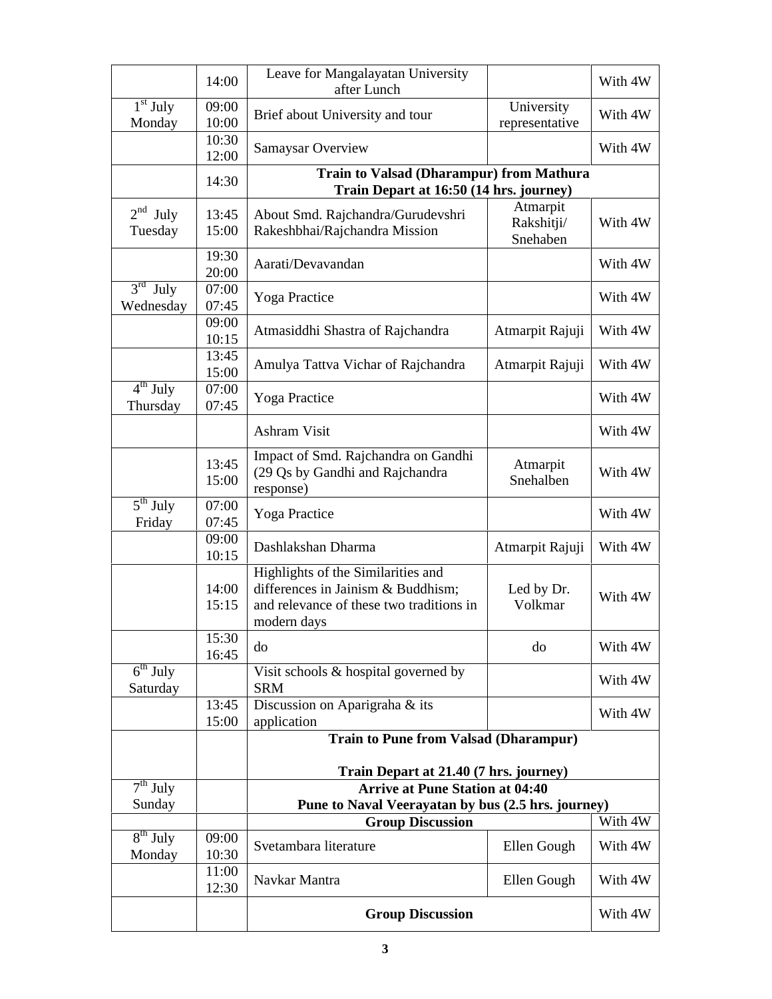|                                   | 14:00                   | Leave for Mangalayatan University<br>after Lunch                                                                                    |                                    | With 4W |  |
|-----------------------------------|-------------------------|-------------------------------------------------------------------------------------------------------------------------------------|------------------------------------|---------|--|
| $1st$ July<br>Monday              | 09:00<br>10:00          | Brief about University and tour                                                                                                     | University<br>representative       | With 4W |  |
|                                   | 10:30<br>12:00          | Samaysar Overview                                                                                                                   |                                    | With 4W |  |
|                                   | 14:30                   | Train to Valsad (Dharampur) from Mathura<br>Train Depart at 16:50 (14 hrs. journey)                                                 |                                    |         |  |
| $2nd$ July<br>Tuesday             | 13:45<br>15:00          | About Smd. Rajchandra/Gurudevshri<br>Rakeshbhai/Rajchandra Mission                                                                  | Atmarpit<br>Rakshitji/<br>Snehaben | With 4W |  |
|                                   | 19:30<br>20:00          | Aarati/Devavandan                                                                                                                   |                                    | With 4W |  |
| $3rd$ July<br>Wednesday           | 07:00<br>07:45          | Yoga Practice                                                                                                                       |                                    | With 4W |  |
|                                   | 09:00<br>10:15          | Atmasiddhi Shastra of Rajchandra                                                                                                    | Atmarpit Rajuji                    | With 4W |  |
|                                   | 13:45<br>15:00          | Amulya Tattva Vichar of Rajchandra                                                                                                  | Atmarpit Rajuji                    | With 4W |  |
| $4th$ July<br>Thursday            | 07:00<br>07:45          | Yoga Practice                                                                                                                       |                                    | With 4W |  |
|                                   |                         | Ashram Visit                                                                                                                        |                                    | With 4W |  |
|                                   | 13:45<br>15:00          | Impact of Smd. Rajchandra on Gandhi<br>(29 Qs by Gandhi and Rajchandra<br>response)                                                 | Atmarpit<br>Snehalben              | With 4W |  |
| $\overline{5^{th}$ July<br>Friday | 07:00<br>07:45          | Yoga Practice                                                                                                                       |                                    | With 4W |  |
|                                   | 09:00<br>10:15          | Dashlakshan Dharma                                                                                                                  | Atmarpit Rajuji                    | With 4W |  |
|                                   | 14:00<br>15:15          | Highlights of the Similarities and<br>differences in Jainism & Buddhism;<br>and relevance of these two traditions in<br>modern days | Led by Dr.<br>Volkmar              | With 4W |  |
|                                   | 15:30<br>16:45          | do                                                                                                                                  | do                                 | With 4W |  |
| $6th$ July<br>Saturday            |                         | Visit schools & hospital governed by<br><b>SRM</b>                                                                                  |                                    | With 4W |  |
|                                   | 13:45<br>15:00          | Discussion on Aparigraha & its<br>application                                                                                       |                                    | With 4W |  |
|                                   |                         | <b>Train to Pune from Valsad (Dharampur)</b>                                                                                        |                                    |         |  |
| $7th$ July                        |                         | Train Depart at 21.40 (7 hrs. journey)<br><b>Arrive at Pune Station at 04:40</b>                                                    |                                    |         |  |
| Sunday                            |                         | Pune to Naval Veerayatan by bus (2.5 hrs. journey)                                                                                  |                                    |         |  |
|                                   |                         | <b>Group Discussion</b>                                                                                                             |                                    | With 4W |  |
| $8th$ July<br>Monday              | 09:00<br>10:30          | Svetambara literature                                                                                                               | Ellen Gough                        | With 4W |  |
|                                   | 11:00<br>12:30          | Navkar Mantra                                                                                                                       | Ellen Gough                        | With 4W |  |
|                                   | <b>Group Discussion</b> |                                                                                                                                     |                                    | With 4W |  |